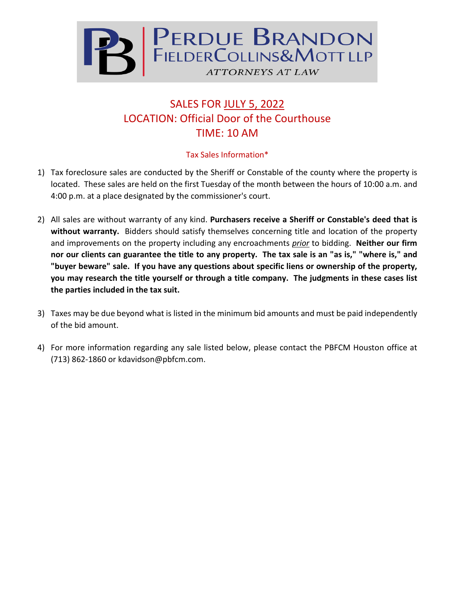

## SALES FOR JULY 5, 2022 LOCATION: Official Door of the Courthouse TIME: 10 AM

## Tax Sales Information\*

- 1) Tax foreclosure sales are conducted by the Sheriff or Constable of the county where the property is located. These sales are held on the first Tuesday of the month between the hours of 10:00 a.m. and 4:00 p.m. at a place designated by the commissioner's court.
- 2) All sales are without warranty of any kind. **Purchasers receive a Sheriff or Constable's deed that is without warranty.** Bidders should satisfy themselves concerning title and location of the property and improvements on the property including any encroachments *prior* to bidding. **Neither our firm nor our clients can guarantee the title to any property. The tax sale is an "as is," "where is," and "buyer beware" sale. If you have any questions about specific liens or ownership of the property, you may research the title yourself or through a title company. The judgments in these cases list the parties included in the tax suit.**
- 3) Taxes may be due beyond what is listed in the minimum bid amounts and must be paid independently of the bid amount.
- 4) For more information regarding any sale listed below, please contact the PBFCM Houston office at (713) 862-1860 or kdavidson@pbfcm.com.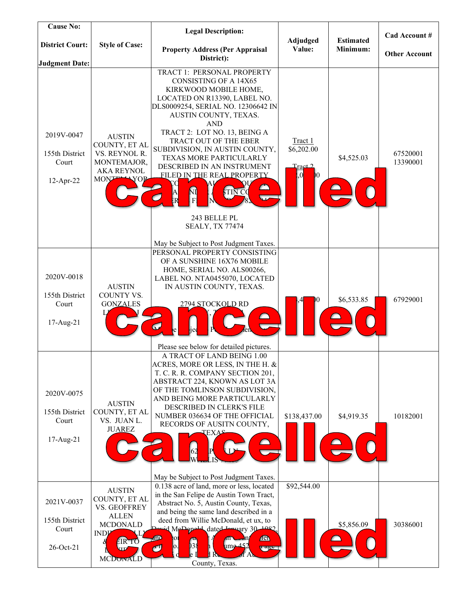| <b>Cause No:</b>                                   |                                                                                                                                                  | <b>Legal Description:</b>                                                                                                                                                                                                                                                                                                                                                                                                                                               | Adjudged                                                          | <b>Estimated</b> | Cad Account #        |
|----------------------------------------------------|--------------------------------------------------------------------------------------------------------------------------------------------------|-------------------------------------------------------------------------------------------------------------------------------------------------------------------------------------------------------------------------------------------------------------------------------------------------------------------------------------------------------------------------------------------------------------------------------------------------------------------------|-------------------------------------------------------------------|------------------|----------------------|
| <b>District Court:</b><br><b>Judgment Date:</b>    | <b>Style of Case:</b>                                                                                                                            | <b>Property Address (Per Appraisal</b><br>District):                                                                                                                                                                                                                                                                                                                                                                                                                    | Value:                                                            | Minimum:         | <b>Other Account</b> |
| 2019V-0047<br>155th District<br>Court<br>12-Apr-22 | <b>AUSTIN</b><br>COUNTY, ET AL<br>VS. REYNOL R.<br>MONTEMAJOR,<br><b>AKA REYNOL</b><br><b>MONT</b><br>$\rightarrow$ YOI                          | TRACT 1: PERSONAL PROPERTY<br><b>CONSISTING OF A 14X65</b><br>KIRKWOOD MOBILE HOME,<br>LOCATED ON R13390, LABEL NO.<br>DLS0009254, SERIAL NO. 12306642 IN<br>AUSTIN COUNTY, TEXAS.<br><b>AND</b><br>TRACT 2: LOT NO. 13, BEING A<br>TRACT OUT OF THE EBER<br>SUBDIVISION, IN AUSTIN COUNTY,<br>TEXAS MORE PARTICULARLY<br>DESCRIBED IN AN INSTRUMENT<br>FILED IN THE REAL PROPERTY<br>ΝÍ<br>A<br>R<br>TIN C<br>$\overline{F}$<br>243 BELLE PL<br><b>SEALY, TX 77474</b> | Tract 1<br>\$6,202.00<br>$\text{Target 2}$<br>, 0<br>$\mathbf{0}$ | \$4,525.03       | 67520001<br>13390001 |
| 2020V-0018<br>155th District<br>Court<br>17-Aug-21 | <b>AUSTIN</b><br><b>COUNTY VS.</b><br><b>GONZALES</b>                                                                                            | May be Subject to Post Judgment Taxes.<br>PERSONAL PROPERTY CONSISTING<br>OF A SUNSHINE 16X76 MOBILE<br>HOME, SERIAL NO. ALS00266,<br>LABEL NO. NTA0455070, LOCATED<br>IN AUSTIN COUNTY, TEXAS.<br>2794 STOCKOLD RD<br>Please see below for detailed pictures.                                                                                                                                                                                                          | Ю                                                                 | \$6,533.85       | 67929001             |
| 2020V-0075<br>155th District<br>Court<br>17-Aug-21 | <b>AUSTIN</b><br>COUNTY, ET AL<br>VS. JUAN L.<br><b>JUAREZ</b>                                                                                   | A TRACT OF LAND BEING 1.00<br>ACRES, MORE OR LESS, IN THE H. &<br>T. C. R. R. COMPANY SECTION 201,<br>ABSTRACT 224, KNOWN AS LOT 3A<br>OF THE TOMLINSON SUBDIVISION,<br>AND BEING MORE PARTICULARLY<br>DESCRIBED IN CLERK'S FILE<br>NUMBER 036634 OF THE OFFICIAL<br>RECORDS OF AUSITN COUNTY,<br><b>ТЕХАЯ</b><br>62<br>May be Subject to Post Judgment Taxes.                                                                                                          | \$138,437.00                                                      | \$4,919.35       | 10182001             |
| 2021V-0037<br>155th District<br>Court<br>26-Oct-21 | <b>AUSTIN</b><br>COUNTY, ET AL<br>VS. GEOFFREY<br><b>ALLEN</b><br><b>MCDONALD</b><br><b>INDP</b><br>EIR <sup>T</sup> O<br><b>XTD</b><br>MCDONALD | 0.138 acre of land, more or less, located<br>in the San Felipe de Austin Town Tract,<br>Abstract No. 5, Austin County, Texas,<br>and being the same land described in a<br>deed from Willie McDonald, et ux, to<br>Devid McDopold dated Jesuary 30 1082.<br>and<br><b>Ten</b><br>01<br>m<br>38<br>um <u>e 45</u> 2<br>0.<br>Ø<br>y agu<br>County, Texas.                                                                                                                | \$92,544.00                                                       | \$5,856.09       | 30386001             |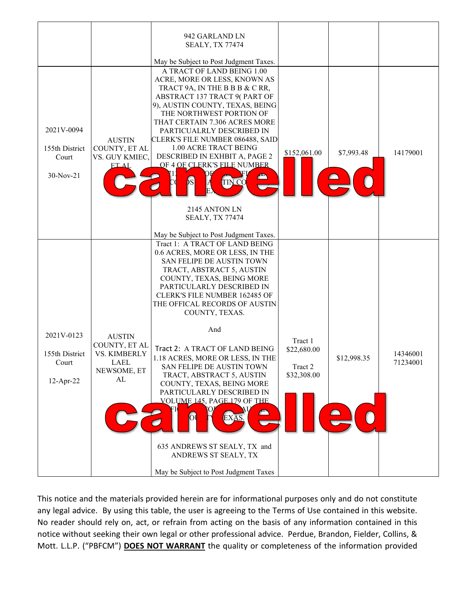|                                                       |                                                                             | 942 GARLAND LN<br><b>SEALY, TX 77474</b><br>May be Subject to Post Judgment Taxes.                                                                                                                                                                                                                                                                                                                                                                                                                                                                                                                                                          |                                                  |             |                      |
|-------------------------------------------------------|-----------------------------------------------------------------------------|---------------------------------------------------------------------------------------------------------------------------------------------------------------------------------------------------------------------------------------------------------------------------------------------------------------------------------------------------------------------------------------------------------------------------------------------------------------------------------------------------------------------------------------------------------------------------------------------------------------------------------------------|--------------------------------------------------|-------------|----------------------|
| 2021V-0094<br>155th District<br>Court<br>30-Nov-21    | <b>AUSTIN</b><br>COUNTY, ET AL<br>VS. GUY KMIEC,<br><b>ETAL</b>             | A TRACT OF LAND BEING 1.00<br>ACRE, MORE OR LESS, KNOWN AS<br>TRACT 9A, IN THE B B B & C RR,<br>ABSTRACT 137 TRACT 9(PART OF<br>9), AUSTIN COUNTY, TEXAS, BEING<br>THE NORTHWEST PORTION OF<br>THAT CERTAIN 7.306 ACRES MORE<br>PARTICUALRLY DESCRIBED IN<br>CLERK'S FILE NUMBER 086488, SAID<br>1.00 ACRE TRACT BEING<br>DESCRIBED IN EXHBIT A, PAGE 2<br>OF 4 OF CLERK'S FILE NUMBER<br>b s<br><b>TIN CO</b><br>2145 ANTON LN<br><b>SEALY, TX 77474</b><br>May be Subject to Post Judgment Taxes.                                                                                                                                         | \$152,061.00                                     | \$7,993.48  | 14179001             |
| 2021V-0123<br>155th District<br>Court<br>$12$ -Apr-22 | <b>AUSTIN</b><br>COUNTY, ET AL<br>VS. KIMBERLY<br>LAEL<br>NEWSOME, ET<br>AL | Tract 1: A TRACT OF LAND BEING<br>0.6 ACRES, MORE OR LESS, IN THE<br>SAN FELIPE DE AUSTIN TOWN<br>TRACT, ABSTRACT 5, AUSTIN<br>COUNTY, TEXAS, BEING MORE<br>PARTICULARLY DESCRIBED IN<br><b>CLERK'S FILE NUMBER 162485 OF</b><br>THE OFFICAL RECORDS OF AUSTIN<br>COUNTY, TEXAS.<br>And<br>Tract 2: A TRACT OF LAND BEING<br>1.18 ACRES, MORE OR LESS, IN THE<br>SAN FELIPE DE AUSTIN TOWN<br>TRACT, ABSTRACT 5, AUSTIN<br>COUNTY, TEXAS, BEING MORE<br>PARTICULARLY DESCRIBED IN<br>VOLUME 145, PAGE 179 OF THE<br>FІ<br>O<br>Юļ<br>EXAS.<br>635 ANDREWS ST SEALY, TX and<br>ANDREWS ST SEALY, TX<br>May be Subject to Post Judgment Taxes | Tract 1<br>\$22,680.00<br>Tract 2<br>\$32,308.00 | \$12,998.35 | 14346001<br>71234001 |

This notice and the materials provided herein are for informational purposes only and do not constitute any legal advice. By using this table, the user is agreeing to the Terms of Use contained in this website. No reader should rely on, act, or refrain from acting on the basis of any information contained in this notice without seeking their own legal or other professional advice. Perdue, Brandon, Fielder, Collins, & Mott. L.L.P. ("PBFCM") **DOES NOT WARRANT** the quality or completeness of the information provided